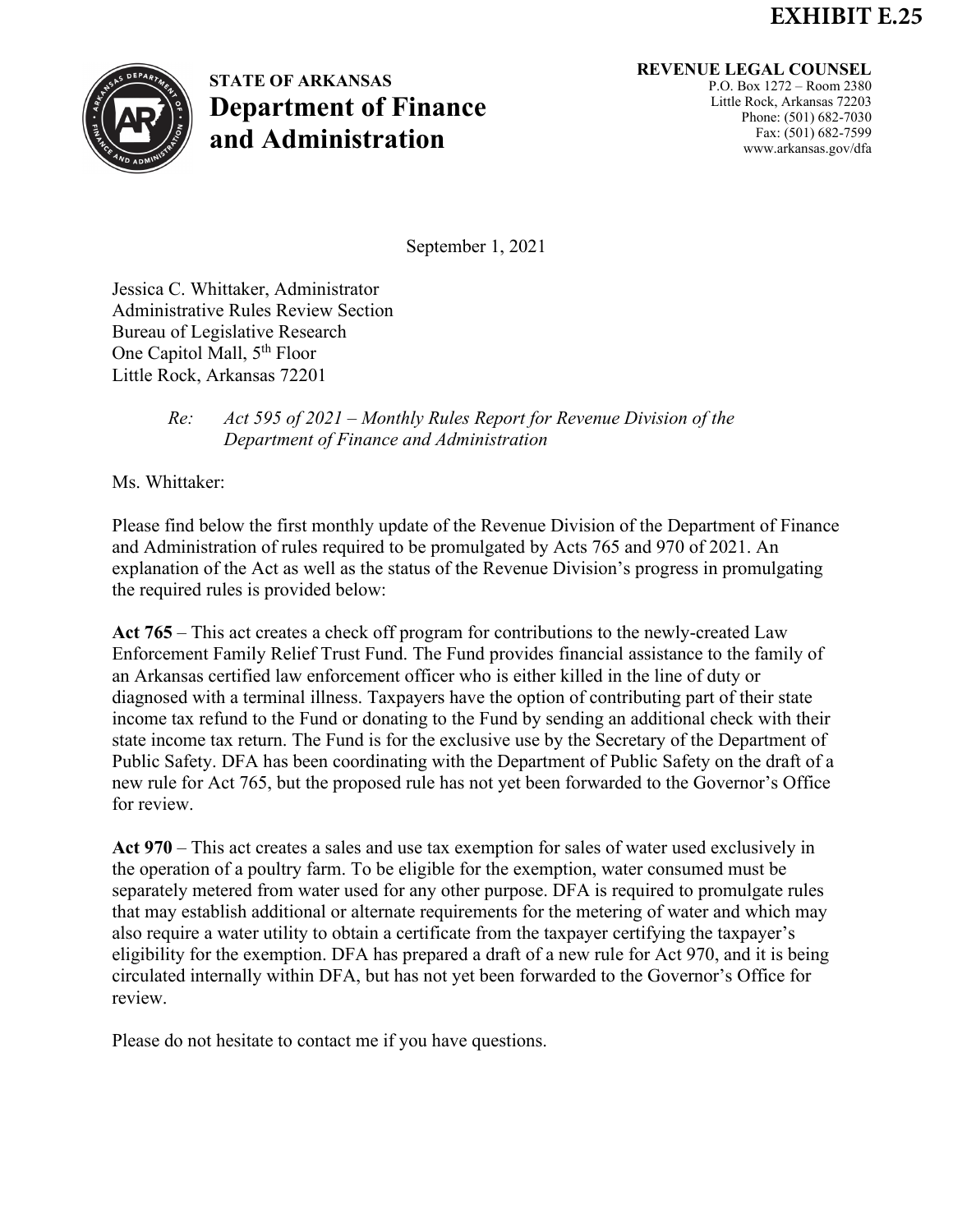## **EXHIBIT E.25**



## **STATE OF ARKANSAS Department of Finance and Administration**

## **REVENUE LEGAL COUNSEL**

P.O. Box 1272 – Room 2380 Little Rock, Arkansas 72203 Phone: (501) 682-7030 Fax: (501) 682-7599 www.arkansas.gov/dfa

September 1, 2021

Jessica C. Whittaker, Administrator Administrative Rules Review Section Bureau of Legislative Research One Capitol Mall, 5<sup>th</sup> Floor Little Rock, Arkansas 72201

## *Re: Act 595 of 2021 – Monthly Rules Report for Revenue Division of the Department of Finance and Administration*

Ms. Whittaker:

Please find below the first monthly update of the Revenue Division of the Department of Finance and Administration of rules required to be promulgated by Acts 765 and 970 of 2021. An explanation of the Act as well as the status of the Revenue Division's progress in promulgating the required rules is provided below:

**Act 765** – This act creates a check off program for contributions to the newly-created Law Enforcement Family Relief Trust Fund. The Fund provides financial assistance to the family of an Arkansas certified law enforcement officer who is either killed in the line of duty or diagnosed with a terminal illness. Taxpayers have the option of contributing part of their state income tax refund to the Fund or donating to the Fund by sending an additional check with their state income tax return. The Fund is for the exclusive use by the Secretary of the Department of Public Safety. DFA has been coordinating with the Department of Public Safety on the draft of a new rule for Act 765, but the proposed rule has not yet been forwarded to the Governor's Office for review.

**Act 970** – This act creates a sales and use tax exemption for sales of water used exclusively in the operation of a poultry farm. To be eligible for the exemption, water consumed must be separately metered from water used for any other purpose. DFA is required to promulgate rules that may establish additional or alternate requirements for the metering of water and which may also require a water utility to obtain a certificate from the taxpayer certifying the taxpayer's eligibility for the exemption. DFA has prepared a draft of a new rule for Act 970, and it is being circulated internally within DFA, but has not yet been forwarded to the Governor's Office for review.

Please do not hesitate to contact me if you have questions.